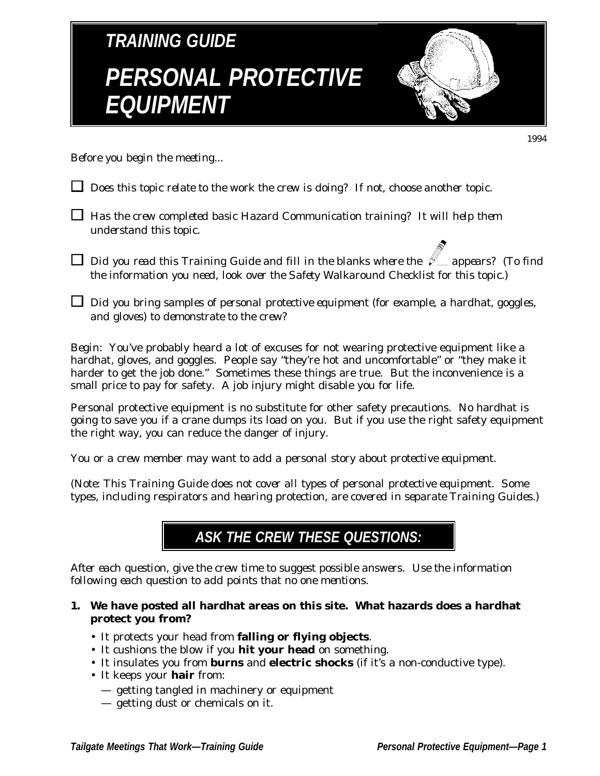

*Before you begin the meeting...*

- *Does this topic relate to the work the crew is doing? If not, choose another topic.*
- *Has the crew completed basic Hazard Communication training? It will help them understand this topic.*
- $\Box$  *Did you read this Training Guide and fill in the blanks where the*  $\mathscr{L}$  *appears? (To find the information you need, look over the Safety Walkaround Checklist for this topic.)*
- *Did you bring samples of personal protective equipment (for example, a hardhat, goggles, and gloves) to demonstrate to the crew?*

*Begin:* You've probably heard a lot of excuses for not wearing protective equipment like a hardhat, gloves, and goggles. People say "they're hot and uncomfortable" or "they make it harder to get the job done." Sometimes these things are true. But the inconvenience is a small price to pay for safety. A job injury might disable you for life.

Personal protective equipment is no substitute for other safety precautions. No hardhat is going to save you if a crane dumps its load on you. But if you use the right safety equipment the right way, you can reduce the danger of injury.

*You or a crew member may want to add a personal story about protective equipment.*

*(Note: This Training Guide does not cover all types of personal protective equipment. Some types, including respirators and hearing protection, are covered in separate Training Guides.)*

### **ASK THE CREW THESE QUESTIONS:**

*After each question, give the crew time to suggest possible answers. Use the information following each question to add points that no one mentions.*

- **1. We have posted all hardhat areas on this site. What hazards does a hardhat protect you from?**
	- It protects your head from **falling or flying objects**.
	- It cushions the blow if you **hit your head** on something.
	- It insulates you from **burns** and **electric shocks** (if it's a non-conductive type).
	- It keeps your **hair** from:
		- getting tangled in machinery or equipment
		- getting dust or chemicals on it.

1994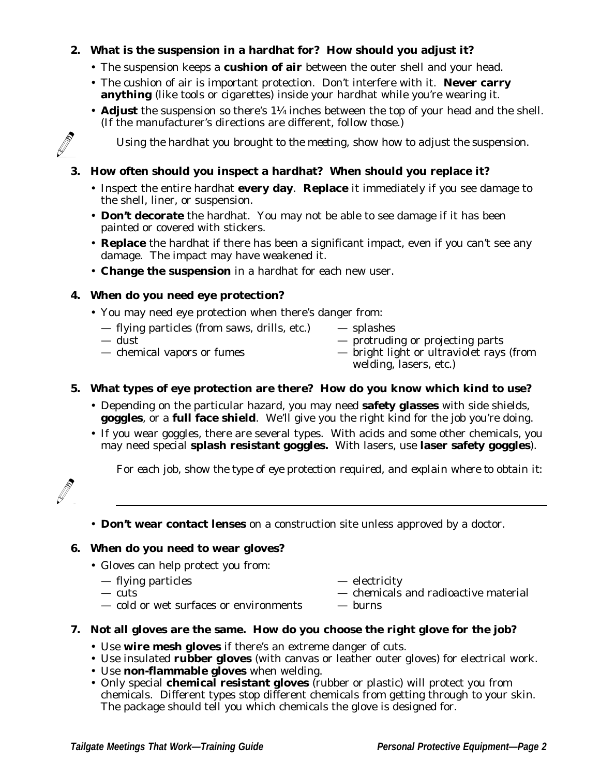#### **2. What is the suspension in a hardhat for? How should you adjust it?**

- The suspension keeps a **cushion of air** between the outer shell and your head.
- The cushion of air is important protection. Don't interfere with it. **Never carry anything** (like tools or cigarettes) inside your hardhat while you're wearing it.
- **Adjust** the suspension so there's 1¼ inches between the top of your head and the shell. (If the manufacturer's directions are different, follow those.)

*Using the hardhat you brought to the meeting, show how to adjust the suspension.*

#### **3. How often should you inspect a hardhat? When should you replace it?**

- Inspect the entire hardhat **every day**. **Replace** it immediately if you see damage to the shell, liner, or suspension.
- **Don't decorate** the hardhat. You may not be able to see damage if it has been painted or covered with stickers.
- **Replace** the hardhat if there has been a significant impact, even if you can't see any damage. The impact may have weakened it.
- **Change the suspension** in a hardhat for each new user.

#### **4. When do you need eye protection?**

- You may need eye protection when there's danger from:
	- flying particles (from saws, drills, etc.) splashes<br>
	dust protruding
	-
	-
- $-$  protruding or projecting parts
- chemical vapors or fumes bright light or ultraviolet rays (from welding, lasers, etc.)

#### **5. What types of eye protection are there? How do you know which kind to use?**

- Depending on the particular hazard, you may need **safety glasses** with side shields, **goggles**, or a **full face shield**. We'll give you the right kind for the job you're doing.
- If you wear goggles, there are several types. With acids and some other chemicals, you may need special **splash resistant goggles.** With lasers, use **laser safety goggles**).

*For each job, show the type of eye protection required, and explain where to obtain it:*



• **Don't wear contact lenses** on a construction site unless approved by a doctor.

#### **6. When do you need to wear gloves?**

• Gloves can help protect you from:

| — flying particles | — electricity |
|--------------------|---------------|
|                    |               |

- cuts chemicals and radioactive material — cold or wet surfaces or environments — burns
- 
- **7. Not all gloves are the same. How do you choose the right glove for the job?**
	- Use **wire mesh gloves** if there's an extreme danger of cuts.
	- Use insulated **rubber gloves** (with canvas or leather outer gloves) for electrical work.
	- Use **non-flammable gloves** when welding.
	- Only special **chemical resistant gloves** (rubber or plastic) will protect you from chemicals. Different types stop different chemicals from getting through to your skin. The package should tell you which chemicals the glove is designed for.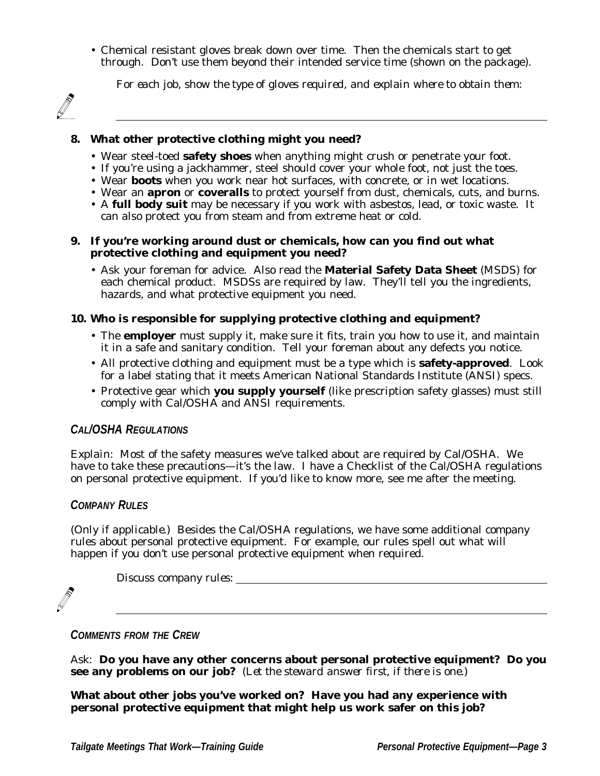• Chemical resistant gloves break down over time. Then the chemicals start to get through. Don't use them beyond their intended service time (shown on the package).

*For each job, show the type of gloves required, and explain where to obtain them:*

#### **8. What other protective clothing might you need?**

- Wear steel-toed **safety shoes** when anything might crush or penetrate your foot.
- If you're using a jackhammer, steel should cover your whole foot, not just the toes.
- Wear **boots** when you work near hot surfaces, with concrete, or in wet locations.
- Wear an **apron** or **coveralls** to protect yourself from dust, chemicals, cuts, and burns.
- A **full body suit** may be necessary if you work with asbestos, lead, or toxic waste. It can also protect you from steam and from extreme heat or cold.

#### **9. If you're working around dust or chemicals, how can you find out what protective clothing and equipment you need?**

• Ask your foreman for advice. Also read the **Material Safety Data Sheet** (MSDS) for each chemical product. MSDSs are required by law. They'll tell you the ingredients, hazards, and what protective equipment you need.

#### **10. Who is responsible for supplying protective clothing and equipment?**

- The **employer** must supply it, make sure it fits, train you how to use it, and maintain it in a safe and sanitary condition. Tell your foreman about any defects you notice.
- All protective clothing and equipment must be a type which is **safety-approved**. Look for a label stating that it meets American National Standards Institute (ANSI) specs.
- Protective gear which **you supply yourself** (like prescription safety glasses) must still comply with Cal/OSHA and ANSI requirements.

#### **CAL/OSHA REGULATIONS**

*Explain:* Most of the safety measures we've talked about are required by Cal/OSHA. We have to take these precautions—it's the law. I have a Checklist of the Cal/OSHA regulations on personal protective equipment. If you'd like to know more, see me after the meeting.

#### **COMPANY RULES**

*(Only if applicable.)* Besides the Cal/OSHA regulations, we have some additional company rules about personal protective equipment. For example, our rules spell out what will happen if you don't use personal protective equipment when required.

*Discuss company rules:*



**COMMENTS FROM THE CREW**

*Ask:* **Do you have any other concerns about personal protective equipment? Do you see any problems on our job?** *(Let the steward answer first, if there is one.)*

**What about other jobs you've worked on? Have you had any experience with personal protective equipment that might help us work safer on this job?**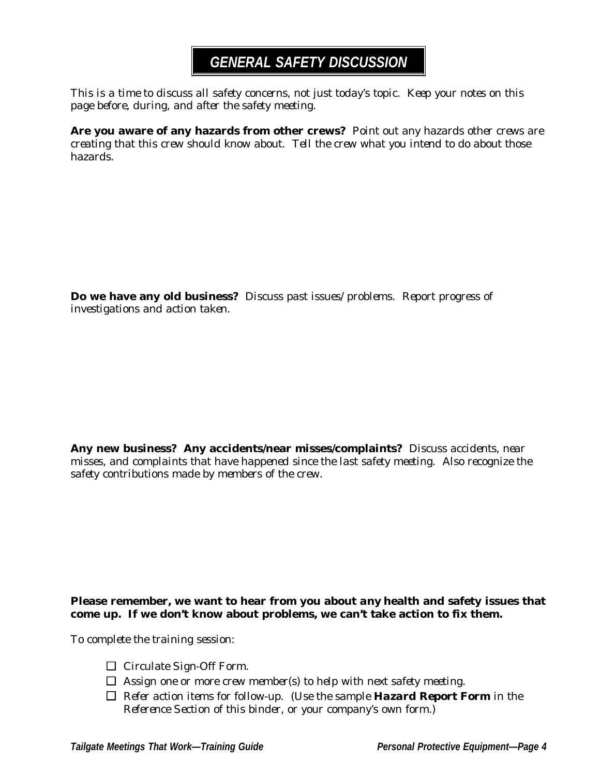## **GENERAL SAFETY DISCUSSION**

*This is a time to discuss all safety concerns, not just today's topic. Keep your notes on this page before, during, and after the safety meeting.*

**Are you aware of any hazards from other crews?** *Point out any hazards other crews are creating that this crew should know about. Tell the crew what you intend to do about those hazards.*

**Do we have any old business?** *Discuss past issues/problems. Report progress of investigations and action taken.*

**Any new business? Any accidents/near misses/complaints?** *Discuss accidents, near misses, and complaints that have happened since the last safety meeting. Also recognize the safety contributions made by members of the crew.*

#### **Please remember, we want to hear from you about** *any* **health and safety issues that come up. If we don't know about problems, we can't take action to fix them.**

*To complete the training session:*

- *Circulate Sign-Off Form.*
- *Assign one or more crew member(s) to help with next safety meeting.*
- *Refer action items for follow-up. (Use the sample Hazard Report Form in the Reference Section of this binder, or your company's own form.)*